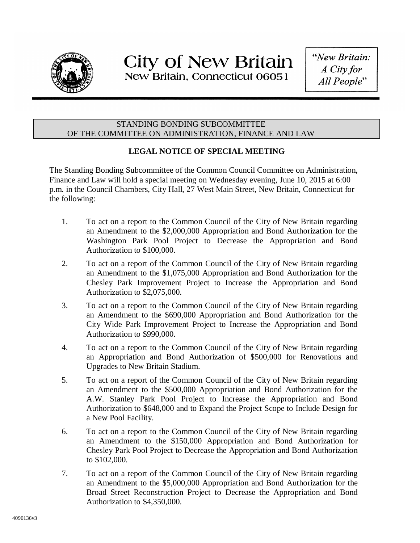

"New Britain: A City for All People"

## STANDING BONDING SUBCOMMITTEE OF THE COMMITTEE ON ADMINISTRATION, FINANCE AND LAW

## **LEGAL NOTICE OF SPECIAL MEETING**

The Standing Bonding Subcommittee of the Common Council Committee on Administration, Finance and Law will hold a special meeting on Wednesday evening, June 10, 2015 at 6:00 p.m. in the Council Chambers, City Hall, 27 West Main Street, New Britain, Connecticut for the following:

- 1. To act on a report to the Common Council of the City of New Britain regarding an Amendment to the \$2,000,000 Appropriation and Bond Authorization for the Washington Park Pool Project to Decrease the Appropriation and Bond Authorization to \$100,000.
- 2. To act on a report of the Common Council of the City of New Britain regarding an Amendment to the \$1,075,000 Appropriation and Bond Authorization for the Chesley Park Improvement Project to Increase the Appropriation and Bond Authorization to \$2,075,000.
- 3. To act on a report to the Common Council of the City of New Britain regarding an Amendment to the \$690,000 Appropriation and Bond Authorization for the City Wide Park Improvement Project to Increase the Appropriation and Bond Authorization to \$990,000.
- 4. To act on a report to the Common Council of the City of New Britain regarding an Appropriation and Bond Authorization of \$500,000 for Renovations and Upgrades to New Britain Stadium.
- 5. To act on a report of the Common Council of the City of New Britain regarding an Amendment to the \$500,000 Appropriation and Bond Authorization for the A.W. Stanley Park Pool Project to Increase the Appropriation and Bond Authorization to \$648,000 and to Expand the Project Scope to Include Design for a New Pool Facility.
- 6. To act on a report to the Common Council of the City of New Britain regarding an Amendment to the \$150,000 Appropriation and Bond Authorization for Chesley Park Pool Project to Decrease the Appropriation and Bond Authorization to \$102,000.
- 7. To act on a report of the Common Council of the City of New Britain regarding an Amendment to the \$5,000,000 Appropriation and Bond Authorization for the Broad Street Reconstruction Project to Decrease the Appropriation and Bond Authorization to \$4,350,000.